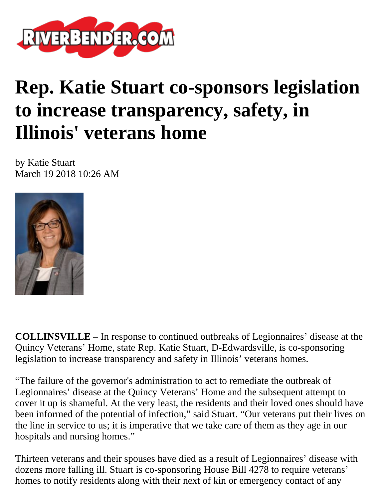

## **Rep. Katie Stuart co-sponsors legislation to increase transparency, safety, in Illinois' veterans home**

by Katie Stuart March 19 2018 10:26 AM



**COLLINSVILLE** – In response to continued outbreaks of Legionnaires' disease at the Quincy Veterans' Home, state Rep. Katie Stuart, D-Edwardsville, is co-sponsoring legislation to increase transparency and safety in Illinois' veterans homes.

"The failure of the governor's administration to act to remediate the outbreak of Legionnaires' disease at the Quincy Veterans' Home and the subsequent attempt to cover it up is shameful. At the very least, the residents and their loved ones should have been informed of the potential of infection," said Stuart. "Our veterans put their lives on the line in service to us; it is imperative that we take care of them as they age in our hospitals and nursing homes."

Thirteen veterans and their spouses have died as a result of Legionnaires' disease with dozens more falling ill. Stuart is co-sponsoring House Bill 4278 to require veterans' homes to notify residents along with their next of kin or emergency contact of any